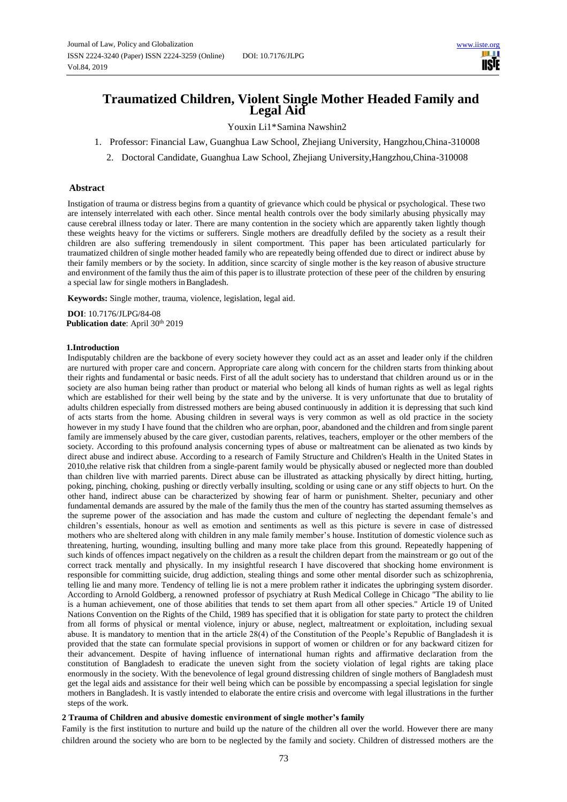# **Traumatized Children, Violent Single Mother Headed Family and Legal Aid**

Youxin Li1\*Samina Nawshin2

- 1. Professor: Financial Law, Guanghua Law School, Zhejiang University, Hangzhou,China-310008
	- 2. Doctoral Candidate, Guanghua Law School, Zhejiang University,Hangzhou,China-310008

# **Abstract**

Instigation of trauma or distress begins from a quantity of grievance which could be physical or psychological. These two are intensely interrelated with each other. Since mental health controls over the body similarly abusing physically may cause cerebral illness today or later. There are many contention in the society which are apparently taken lightly though these weights heavy for the victims or sufferers. Single mothers are dreadfully defiled by the society as a result their children are also suffering tremendously in silent comportment. This paper has been articulated particularly for traumatized children of single mother headed family who are repeatedly being offended due to direct or indirect abuse by their family members or by the society. In addition, since scarcity of single mother is the key reason of abusive structure and environment of the family thus the aim of this paper is to illustrate protection of these peer of the children by ensuring a special law for single mothers inBangladesh.

**Keywords:** Single mother, trauma, violence, legislation, legal aid.

**DOI**: 10.7176/JLPG/84-08 Publication date: April 30<sup>th</sup> 2019

# **1.Introduction**

Indisputably children are the backbone of every society however they could act as an asset and leader only if the children are nurtured with proper care and concern. Appropriate care along with concern for the children starts from thinking about their rights and fundamental or basic needs. First of all the adult society has to understand that children around us or in the society are also human being rather than product or material who belong all kinds of human rights as well as legal rights which are established for their well being by the state and by the universe. It is very unfortunate that due to brutality of adults children especially from distressed mothers are being abused continuously in addition it is depressing that such kind of acts starts from the home. Abusing children in several ways is very common as well as old practice in the society however in my study I have found that the children who are orphan, poor, abandoned and the children and from single parent family are immensely abused by the care giver, custodian parents, relatives, teachers, employer or the other members of the society. According to this profound analysis concerning types of abuse or maltreatment can be alienated as two kinds by direct abuse and indirect abuse. According to a research of Family Structure and Children's Health in the United States in 2010,the relative risk that children from a single-parent family would be physically abused or neglected more than doubled than children live with married parents. Direct abuse can be illustrated as attacking physically by direct hitting, hurting, poking, pinching, choking, pushing or directly verbally insulting, scolding or using cane or any stiff objects to hurt. On the other hand, indirect abuse can be characterized by showing fear of harm or punishment. Shelter, pecuniary and other fundamental demands are assured by the male of the family thus the men of the country has started assuming themselves as the supreme power of the association and has made the custom and culture of neglecting the dependant female's and children's essentials, honour as well as emotion and sentiments as well as this picture is severe in case of distressed mothers who are sheltered along with children in any male family member's house. Institution of domestic violence such as threatening, hurting, wounding, insulting bulling and many more take place from this ground. Repeatedly happening of such kinds of offences impact negatively on the children as a result the children depart from the mainstream or go out of the correct track mentally and physically. In my insightful research I have discovered that shocking home environment is responsible for committing suicide, drug addiction, stealing things and some other mental disorder such as schizophrenia, telling lie and many more. Tendency of telling lie is not a mere problem rather it indicates the upbringing system disorder. According to Arnold Goldberg, a renowned professor of psychiatry at Rush Medical College in Chicago ''The ability to lie is a human achievement, one of those abilities that tends to set them apart from all other species.'' Article 19 of United Nations Convention on the Rights of the Child, 1989 has specified that it is obligation for state party to protect the children from all forms of physical or mental violence, injury or abuse, neglect, maltreatment or exploitation, including sexual abuse. It is mandatory to mention that in the article 28(4) of the Constitution of the People's Republic of Bangladesh it is provided that the state can formulate special provisions in support of women or children or for any backward citizen for their advancement. Despite of having influence of international human rights and affirmative declaration from the constitution of Bangladesh to eradicate the uneven sight from the society violation of legal rights are taking place enormously in the society. With the benevolence of legal ground distressing children of single mothers of Bangladesh must get the legal aids and assistance for their well being which can be possible by encompassing a special legislation for single mothers in Bangladesh. It is vastly intended to elaborate the entire crisis and overcome with legal illustrations in the further steps of the work.

# **2 Trauma of Children and abusive domestic environment of single mother's family**

Family is the first institution to nurture and build up the nature of the children all over the world. However there are many children around the society who are born to be neglected by the family and society. Children of distressed mothers are the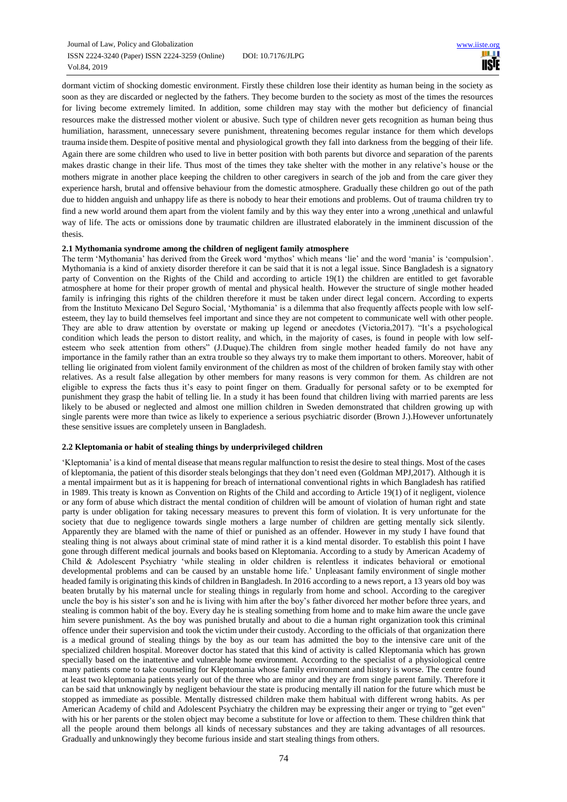dormant victim of shocking domestic environment. Firstly these children lose their identity as human being in the society as soon as they are discarded or neglected by the fathers. They become burden to the society as most of the times the resources for living become extremely limited. In addition, some children may stay with the mother but deficiency of financial resources make the distressed mother violent or abusive. Such type of children never gets recognition as human being thus humiliation, harassment, unnecessary severe punishment, threatening becomes regular instance for them which develops trauma inside them. Despite of positive mental and physiological growth they fall into darkness from the begging of their life. Again there are some children who used to live in better position with both parents but divorce and separation of the parents makes drastic change in their life. Thus most of the times they take shelter with the mother in any relative's house or the mothers migrate in another place keeping the children to other caregivers in search of the job and from the care giver they experience harsh, brutal and offensive behaviour from the domestic atmosphere. Gradually these children go out of the path due to hidden anguish and unhappy life as there is nobody to hear their emotions and problems. Out of trauma children try to find a new world around them apart from the violent family and by this way they enter into a wrong ,unethical and unlawful way of life. The acts or omissions done by traumatic children are illustrated elaborately in the imminent discussion of the thesis.

# **2.1 Mythomania syndrome among the children of negligent family atmosphere**

The term 'Mythomania' has derived from the Greek word 'mythos' which means 'lie' and the word 'mania' is 'compulsion'. Mythomania is a kind of anxiety disorder therefore it can be said that it is not a legal issue. Since Bangladesh is a signatory party of Convention on the Rights of the Child and according to article 19(1) the children are entitled to get favorable atmosphere at home for their proper growth of mental and physical health. However the structure of single mother headed family is infringing this rights of the children therefore it must be taken under direct legal concern. According to experts from the Instituto Mexicano Del Seguro Social, 'Mythomania' is a dilemma that also frequently affects people with low selfesteem, they lay to build themselves feel important and since they are not competent to communicate well with other people. They are able to draw attention by overstate or making up legend or anecdotes (Victoria,2017). "It's a psychological condition which leads the person to distort reality, and which, in the majority of cases, is found in people with low selfesteem who seek attention from others" (J.Duque).The children from single mother headed family do not have any importance in the family rather than an extra trouble so they always try to make them important to others. Moreover, habit of telling lie originated from violent family environment of the children as most of the children of broken family stay with other relatives. As a result false allegation by other members for many reasons is very common for them. As children are not eligible to express the facts thus it's easy to point finger on them. Gradually for personal safety or to be exempted for punishment they grasp the habit of telling lie. In a study it has been found that children living with married parents are less likely to be abused or neglected and almost one million children in Sweden demonstrated that children growing up with single parents were more than twice as likely to experience a serious psychiatric disorder (Brown J.).However unfortunately these sensitive issues are completely unseen in Bangladesh.

# **2.2 Kleptomania or habit of stealing things by underprivileged children**

'Kleptomania' is a kind of mental disease that means regular malfunction to resist the desire to steal things. Most of the cases of kleptomania, the patient of this disorder steals belongings that they don't need even (Goldman MPJ,2017). Although it is a mental impairment but as it is happening for breach of international conventional rights in which Bangladesh has ratified in 1989. This treaty is known as Convention on Rights of the Child and according to Article 19(1) of it negligent, violence or any form of abuse which distract the mental condition of children will be amount of violation of human right and state party is under obligation for taking necessary measures to prevent this form of violation. It is very unfortunate for the society that due to negligence towards single mothers a large number of children are getting mentally sick silently. Apparently they are blamed with the name of thief or punished as an offender. However in my study I have found that stealing thing is not always about criminal state of mind rather it is a kind mental disorder. To establish this point I have gone through different medical journals and books based on Kleptomania. According to a study by American Academy of Child & Adolescent Psychiatry 'while stealing in older children is relentless it indicates behavioral or emotional developmental problems and can be caused by an unstable home life.' Unpleasant family environment of single mother headed family is originating this kinds of children in Bangladesh. In 2016 according to a news report, a 13 years old boy was beaten brutally by his maternal uncle for stealing things in regularly from home and school. According to the caregiver uncle the boy is his sister's son and he is living with him after the boy's father divorced her mother before three years, and stealing is common habit of the boy. Every day he is stealing something from home and to make him aware the uncle gave him severe punishment. As the boy was punished brutally and about to die a human right organization took this criminal offence under their supervision and took the victim under their custody. According to the officials of that organization there is a medical ground of stealing things by the boy as our team has admitted the boy to the intensive care unit of the specialized children hospital. Moreover doctor has stated that this kind of activity is called Kleptomania which has grown specially based on the inattentive and vulnerable home environment. According to the specialist of a physiological centre many patients come to take counseling for Kleptomania whose family environment and history is worse. The centre found at least two kleptomania patients yearly out of the three who are minor and they are from single parent family. Therefore it can be said that unknowingly by negligent behaviour the state is producing mentally ill nation for the future which must be stopped as immediate as possible. Mentally distressed children make them habitual with different wrong habits. As per American Academy of child and Adolescent Psychiatry the children may be expressing their anger or trying to "get even" with his or her parents or the stolen object may become a substitute for love or affection to them. These children think that all the people around them belongs all kinds of necessary substances and they are taking advantages of all resources. Gradually and unknowingly they become furious inside and start stealing things from others.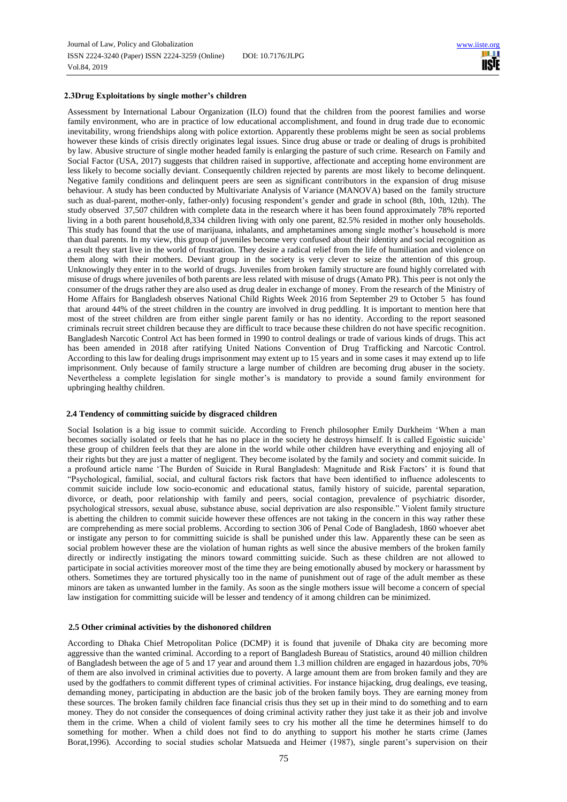# **2.3Drug Exploitations by single mother's children**

Assessment by International Labour Organization (ILO) found that the children from the poorest families and worse family environment, who are in practice of low educational accomplishment, and found in drug trade due to economic inevitability, wrong friendships along with police extortion. Apparently these problems might be seen as social problems however these kinds of crisis directly originates legal issues. Since drug abuse or trade or dealing of drugs is prohibited by law. Abusive structure of single mother headed family is enlarging the pasture of such crime. Research on Family and Social Factor (USA, 2017) suggests that children raised in supportive, affectionate and accepting home environment are less likely to become socially deviant. Consequently children rejected by parents are most likely to become delinquent. Negative family conditions and delinquent peers are seen as significant contributors in the expansion of drug misuse behaviour. A study has been conducted by Multivariate Analysis of Variance (MANOVA) based on the family structure such as dual-parent, mother-only, father-only) focusing respondent's gender and grade in school (8th, 10th, 12th). The study observed 37,507 children with complete data in the research where it has been found approximately 78% reported living in a both parent household,8,334 children living with only one parent, 82.5% resided in mother only households. This study has found that the use of marijuana, inhalants, and amphetamines among single mother's household is more than dual parents. In my view, this group of juveniles become very confused about their identity and social recognition as a result they start live in the world of frustration. They desire a radical relief from the life of humiliation and violence on them along with their mothers. Deviant group in the society is very clever to seize the attention of this group. Unknowingly they enter in to the world of drugs. Juveniles from broken family structure are found highly correlated with misuse of drugs where juveniles of both parents are less related with misuse of drugs (Amato PR). This peer is not only the consumer of the drugs rather they are also used as drug dealer in exchange of money. From the research of the Ministry of Home Affairs for Bangladesh observes National Child Rights Week 2016 from September 29 to October 5 has found that around 44% of the street children in the country are involved in drug peddling. It is important to mention here that most of the street children are from either single parent family or has no identity. According to the report seasoned criminals recruit street children because they are difficult to trace because these children do not have specific recognition. Bangladesh Narcotic Control Act has been formed in 1990 to control dealings or trade of various kinds of drugs. This act has been amended in 2018 after ratifying United Nations Convention of Drug Trafficking and Narcotic Control. According to this law for dealing drugs imprisonment may extent up to 15 years and in some cases it may extend up to life imprisonment. Only because of family structure a large number of children are becoming drug abuser in the society. Nevertheless a complete legislation for single mother's is mandatory to provide a sound family environment for upbringing healthy children.

#### **2.4 Tendency of committing suicide by disgraced children**

Social Isolation is a big issue to commit suicide. According to French philosopher Emily Durkheim 'When a man becomes socially isolated or feels that he has no place in the society he destroys himself. It is called Egoistic suicide' these group of children feels that they are alone in the world while other children have everything and enjoying all of their rights but they are just a matter of negligent. They become isolated by the family and society and commit suicide. In a profound article name 'The Burden of Suicide in Rural Bangladesh: Magnitude and Risk Factors' it is found that "Psychological, familial, social, and cultural factors risk factors that have been identified to influence adolescents to commit suicide include low socio-economic and educational status, family history of suicide, parental separation, divorce, or death, poor relationship with family and peers, social contagion, prevalence of psychiatric disorder, psychological stressors, sexual abuse, substance abuse, social deprivation are also responsible." Violent family structure is abetting the children to commit suicide however these offences are not taking in the concern in this way rather these are comprehending as mere social problems. According to section 306 of Penal Code of Bangladesh, 1860 whoever abet or instigate any person to for committing suicide is shall be punished under this law. Apparently these can be seen as social problem however these are the violation of human rights as well since the abusive members of the broken family directly or indirectly instigating the minors toward committing suicide. Such as these children are not allowed to participate in social activities moreover most of the time they are being emotionally abused by mockery or harassment by others. Sometimes they are tortured physically too in the name of punishment out of rage of the adult member as these minors are taken as unwanted lumber in the family. As soon as the single mothers issue will become a concern of special law instigation for committing suicide will be lesser and tendency of it among children can be minimized.

#### **2.5 Other criminal activities by the dishonored children**

According to Dhaka Chief Metropolitan Police (DCMP) it is found that juvenile of Dhaka city are becoming more aggressive than the wanted criminal. According to a report of Bangladesh Bureau of Statistics, around 40 million children of Bangladesh between the age of 5 and 17 year and around them 1.3 million children are engaged in hazardous jobs, 70% of them are also involved in criminal activities due to poverty. A large amount them are from broken family and they are used by the godfathers to commit different types of criminal activities. For instance hijacking, drug dealings, eve teasing, demanding money, participating in abduction are the basic job of the broken family boys. They are earning money from these sources. The broken family children face financial crisis thus they set up in their mind to do something and to earn money. They do not consider the consequences of doing criminal activity rather they just take it as their job and involve them in the crime. When a child of violent family sees to cry his mother all the time he determines himself to do something for mother. When a child does not find to do anything to support his mother he starts crime (James Borat,1996). According to social studies scholar Matsueda and Heimer (1987), single parent's supervision on their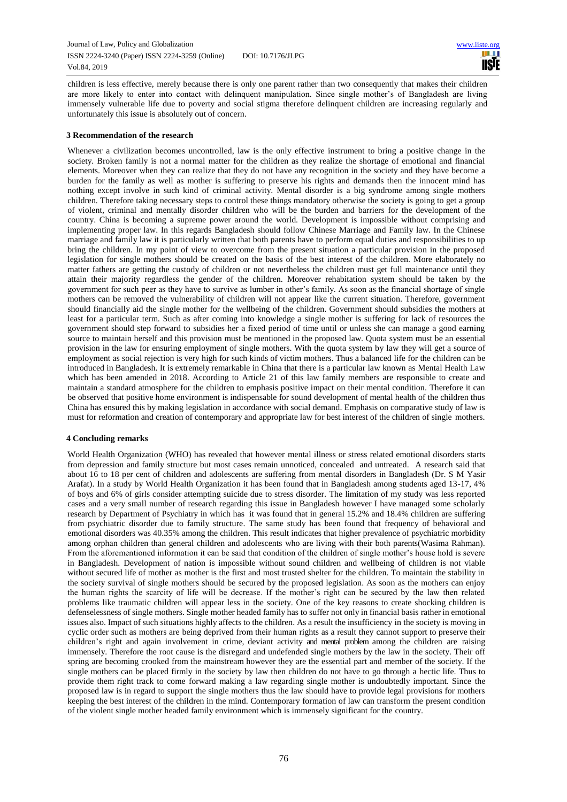# [www.iiste.org](http://www.iiste.org/) 11SIE

children is less effective, merely because there is only one parent rather than two consequently that makes their children are more likely to enter into contact with delinquent manipulation. Since single mother's of Bangladesh are living immensely vulnerable life due to poverty and social stigma therefore delinquent children are increasing regularly and unfortunately this issue is absolutely out of concern.

# **3 Recommendation of the research**

Whenever a civilization becomes uncontrolled, law is the only effective instrument to bring a positive change in the society. Broken family is not a normal matter for the children as they realize the shortage of emotional and financial elements. Moreover when they can realize that they do not have any recognition in the society and they have become a burden for the family as well as mother is suffering to preserve his rights and demands then the innocent mind has nothing except involve in such kind of criminal activity. Mental disorder is a big syndrome among single mothers children. Therefore taking necessary steps to control these things mandatory otherwise the society is going to get a group of violent, criminal and mentally disorder children who will be the burden and barriers for the development of the country. China is becoming a supreme power around the world. Development is impossible without comprising and implementing proper law. In this regards Bangladesh should follow Chinese Marriage and Family law. In the Chinese marriage and family law it is particularly written that both parents have to perform equal duties and responsibilities to up bring the children. In my point of view to overcome from the present situation a particular provision in the proposed legislation for single mothers should be created on the basis of the best interest of the children. More elaborately no matter fathers are getting the custody of children or not nevertheless the children must get full maintenance until they attain their majority regardless the gender of the children. Moreover rehabitation system should be taken by the government for such peer as they have to survive as lumber in other's family. As soon as the financial shortage of single mothers can be removed the vulnerability of children will not appear like the current situation. Therefore, government should financially aid the single mother for the wellbeing of the children. Government should subsidies the mothers at least for a particular term. Such as after coming into knowledge a single mother is suffering for lack of resources the government should step forward to subsidies her a fixed period of time until or unless she can manage a good earning source to maintain herself and this provision must be mentioned in the proposed law. Quota system must be an essential provision in the law for ensuring employment of single mothers. With the quota system by law they will get a source of employment as social rejection is very high for such kinds of victim mothers. Thus a balanced life for the children can be introduced in Bangladesh. It is extremely remarkable in China that there is a particular law known as Mental Health Law which has been amended in 2018. According to Article 21 of this law family members are responsible to create and maintain a standard atmosphere for the children to emphasis positive impact on their mental condition. Therefore it can be observed that positive home environment is indispensable for sound development of mental health of the children thus China has ensured this by making legislation in accordance with social demand. Emphasis on comparative study of law is must for reformation and creation of contemporary and appropriate law for best interest of the children of single mothers.

#### **4 Concluding remarks**

World Health Organization (WHO) has revealed that however mental illness or stress related emotional disorders starts from depression and family structure but most cases remain unnoticed, concealed and untreated. A research said that about 16 to 18 per cent of children and adolescents are suffering from mental disorders in Bangladesh (Dr. S M Yasir Arafat). In a study by World Health Organization it has been found that in Bangladesh among students aged 13-17, 4% of boys and 6% of girls consider attempting suicide due to stress disorder. The limitation of my study was less reported cases and a very small number of research regarding this issue in Bangladesh however I have managed some scholarly research by Department of Psychiatry in which has it was found that in general 15.2% and 18.4% children are suffering from psychiatric disorder due to family structure. The same study has been found that frequency of behavioral and emotional disorders was 40.35% among the children. This result indicates that higher prevalence of psychiatric morbidity among orphan children than general children and adolescents who are living with their both parents(Wasima Rahman). From the aforementioned information it can be said that condition of the children of single mother's house hold is severe in Bangladesh. Development of nation is impossible without sound children and wellbeing of children is not viable without secured life of mother as mother is the first and most trusted shelter for the children. To maintain the stability in the society survival of single mothers should be secured by the proposed legislation. As soon as the mothers can enjoy the human rights the scarcity of life will be decrease. If the mother's right can be secured by the law then related problems like traumatic children will appear less in the society. One of the key reasons to create shocking children is defenselessness of single mothers. Single mother headed family has to suffer not only in financial basis rather in emotional issues also. Impact of such situations highly affects to the children. As a result the insufficiency in the society is moving in cyclic order such as mothers are being deprived from their human rights as a result they cannot support to preserve their children's right and again involvement in crime, deviant activity and mental problem among the children are raising immensely. Therefore the root cause is the disregard and undefended single mothers by the law in the society. Their off spring are becoming crooked from the mainstream however they are the essential part and member of the society. If the single mothers can be placed firmly in the society by law then children do not have to go through a hectic life. Thus to provide them right track to come forward making a law regarding single mother is undoubtedly important. Since the proposed law is in regard to support the single mothers thus the law should have to provide legal provisions for mothers keeping the best interest of the children in the mind. Contemporary formation of law can transform the present condition of the violent single mother headed family environment which is immensely significant for the country.